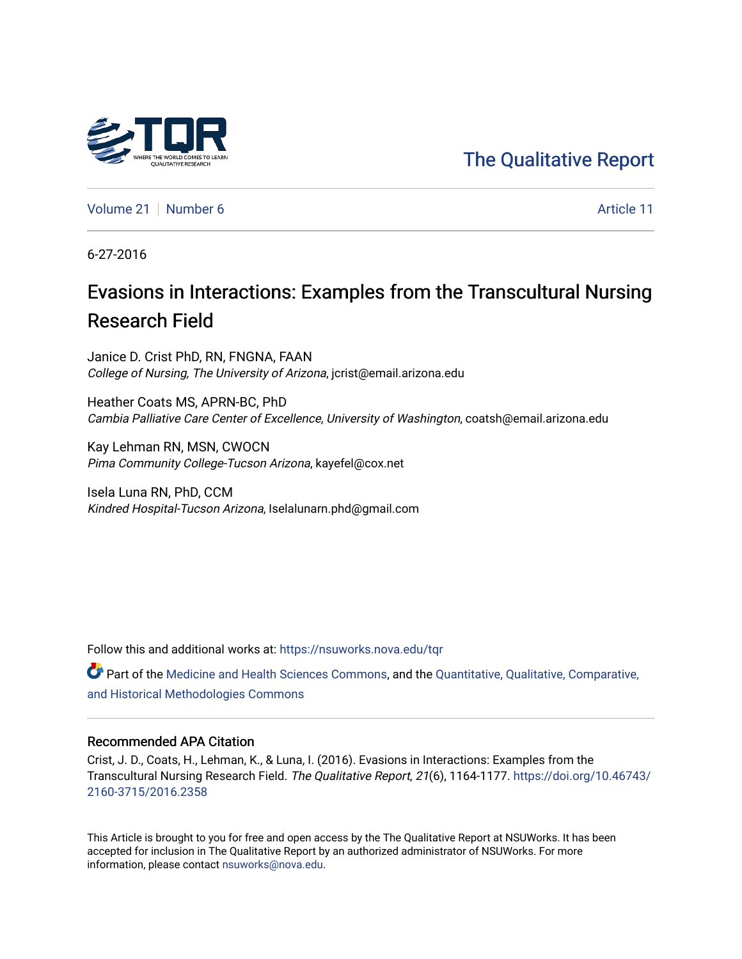# [The Qualitative Report](https://nsuworks.nova.edu/tqr)

[Volume 21](https://nsuworks.nova.edu/tqr/vol21) [Number 6](https://nsuworks.nova.edu/tqr/vol21/iss6) Article 11

6-27-2016

# Evasions in Interactions: Examples from the Transcultural Nursing Research Field

Janice D. Crist PhD, RN, FNGNA, FAAN College of Nursing, The University of Arizona, jcrist@email.arizona.edu

Heather Coats MS, APRN-BC, PhD Cambia Palliative Care Center of Excellence, University of Washington, coatsh@email.arizona.edu

Kay Lehman RN, MSN, CWOCN Pima Community College-Tucson Arizona, kayefel@cox.net

Isela Luna RN, PhD, CCM Kindred Hospital-Tucson Arizona, Iselalunarn.phd@gmail.com

Follow this and additional works at: [https://nsuworks.nova.edu/tqr](https://nsuworks.nova.edu/tqr?utm_source=nsuworks.nova.edu%2Ftqr%2Fvol21%2Fiss6%2F11&utm_medium=PDF&utm_campaign=PDFCoverPages) 

Part of the [Medicine and Health Sciences Commons,](http://network.bepress.com/hgg/discipline/648?utm_source=nsuworks.nova.edu%2Ftqr%2Fvol21%2Fiss6%2F11&utm_medium=PDF&utm_campaign=PDFCoverPages) and the [Quantitative, Qualitative, Comparative,](http://network.bepress.com/hgg/discipline/423?utm_source=nsuworks.nova.edu%2Ftqr%2Fvol21%2Fiss6%2F11&utm_medium=PDF&utm_campaign=PDFCoverPages)  [and Historical Methodologies Commons](http://network.bepress.com/hgg/discipline/423?utm_source=nsuworks.nova.edu%2Ftqr%2Fvol21%2Fiss6%2F11&utm_medium=PDF&utm_campaign=PDFCoverPages)

#### Recommended APA Citation

Crist, J. D., Coats, H., Lehman, K., & Luna, I. (2016). Evasions in Interactions: Examples from the Transcultural Nursing Research Field. The Qualitative Report, 21(6), 1164-1177. [https://doi.org/10.46743/](https://doi.org/10.46743/2160-3715/2016.2358) [2160-3715/2016.2358](https://doi.org/10.46743/2160-3715/2016.2358)

This Article is brought to you for free and open access by the The Qualitative Report at NSUWorks. It has been accepted for inclusion in The Qualitative Report by an authorized administrator of NSUWorks. For more information, please contact [nsuworks@nova.edu.](mailto:nsuworks@nova.edu)

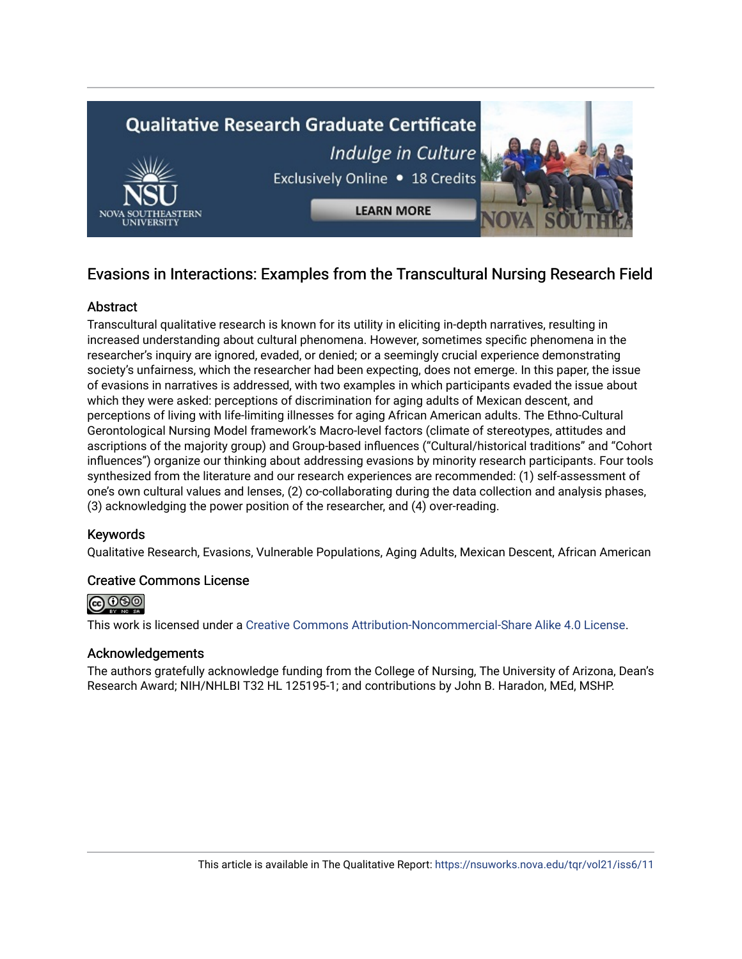

# Evasions in Interactions: Examples from the Transcultural Nursing Research Field

## **Abstract**

Transcultural qualitative research is known for its utility in eliciting in-depth narratives, resulting in increased understanding about cultural phenomena. However, sometimes specific phenomena in the researcher's inquiry are ignored, evaded, or denied; or a seemingly crucial experience demonstrating society's unfairness, which the researcher had been expecting, does not emerge. In this paper, the issue of evasions in narratives is addressed, with two examples in which participants evaded the issue about which they were asked: perceptions of discrimination for aging adults of Mexican descent, and perceptions of living with life-limiting illnesses for aging African American adults. The Ethno-Cultural Gerontological Nursing Model framework's Macro-level factors (climate of stereotypes, attitudes and ascriptions of the majority group) and Group-based influences ("Cultural/historical traditions" and "Cohort influences") organize our thinking about addressing evasions by minority research participants. Four tools synthesized from the literature and our research experiences are recommended: (1) self-assessment of one's own cultural values and lenses, (2) co-collaborating during the data collection and analysis phases, (3) acknowledging the power position of the researcher, and (4) over-reading.

# Keywords

Qualitative Research, Evasions, Vulnerable Populations, Aging Adults, Mexican Descent, African American

#### Creative Commons License



This work is licensed under a [Creative Commons Attribution-Noncommercial-Share Alike 4.0 License](https://creativecommons.org/licenses/by-nc-sa/4.0/).

#### Acknowledgements

The authors gratefully acknowledge funding from the College of Nursing, The University of Arizona, Dean's Research Award; NIH/NHLBI T32 HL 125195-1; and contributions by John B. Haradon, MEd, MSHP.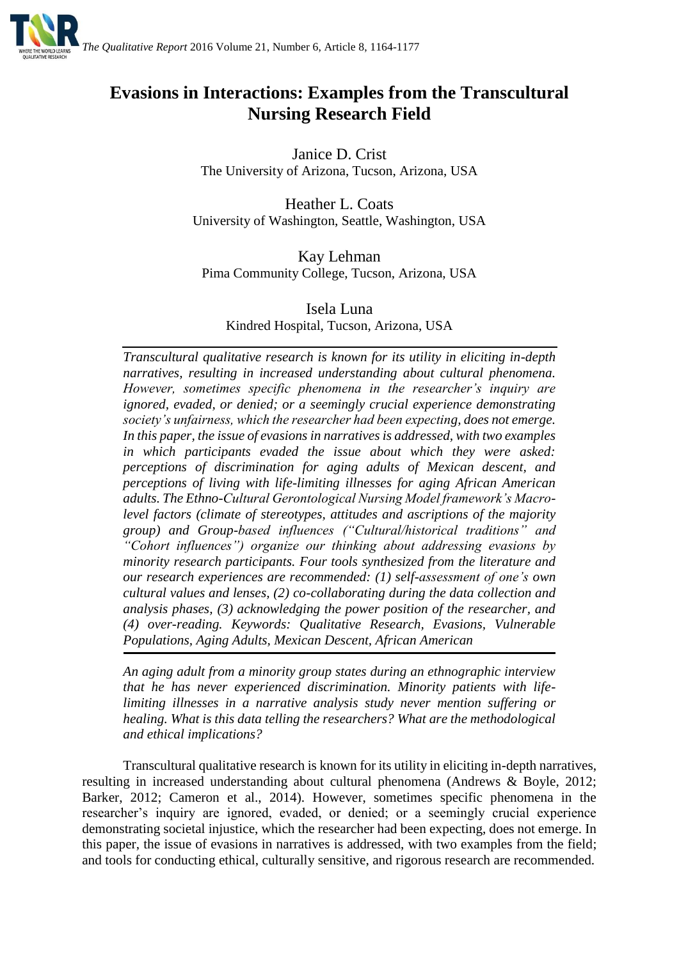

# **Evasions in Interactions: Examples from the Transcultural Nursing Research Field**

Janice D. Crist The University of Arizona, Tucson, Arizona, USA

Heather L. Coats University of Washington, Seattle, Washington, USA

Kay Lehman Pima Community College, Tucson, Arizona, USA

Isela Luna Kindred Hospital, Tucson, Arizona, USA

*Transcultural qualitative research is known for its utility in eliciting in-depth narratives, resulting in increased understanding about cultural phenomena. However, sometimes specific phenomena in the researcher's inquiry are ignored, evaded, or denied; or a seemingly crucial experience demonstrating society's unfairness, which the researcher had been expecting, does not emerge. In this paper, the issue of evasions in narratives is addressed, with two examples in which participants evaded the issue about which they were asked: perceptions of discrimination for aging adults of Mexican descent, and perceptions of living with life-limiting illnesses for aging African American adults. The Ethno-Cultural Gerontological Nursing Model framework's Macrolevel factors (climate of stereotypes, attitudes and ascriptions of the majority group) and Group-based influences ("Cultural/historical traditions" and "Cohort influences") organize our thinking about addressing evasions by minority research participants. Four tools synthesized from the literature and our research experiences are recommended: (1) self-assessment of one's own cultural values and lenses, (2) co-collaborating during the data collection and analysis phases, (3) acknowledging the power position of the researcher, and (4) over-reading. Keywords: Qualitative Research, Evasions, Vulnerable Populations, Aging Adults, Mexican Descent, African American*

*An aging adult from a minority group states during an ethnographic interview that he has never experienced discrimination. Minority patients with lifelimiting illnesses in a narrative analysis study never mention suffering or healing. What is this data telling the researchers? What are the methodological and ethical implications?*

Transcultural qualitative research is known for its utility in eliciting in-depth narratives, resulting in increased understanding about cultural phenomena (Andrews & Boyle, 2012; Barker, 2012; Cameron et al., 2014). However, sometimes specific phenomena in the researcher's inquiry are ignored, evaded, or denied; or a seemingly crucial experience demonstrating societal injustice, which the researcher had been expecting, does not emerge. In this paper, the issue of evasions in narratives is addressed, with two examples from the field; and tools for conducting ethical, culturally sensitive, and rigorous research are recommended.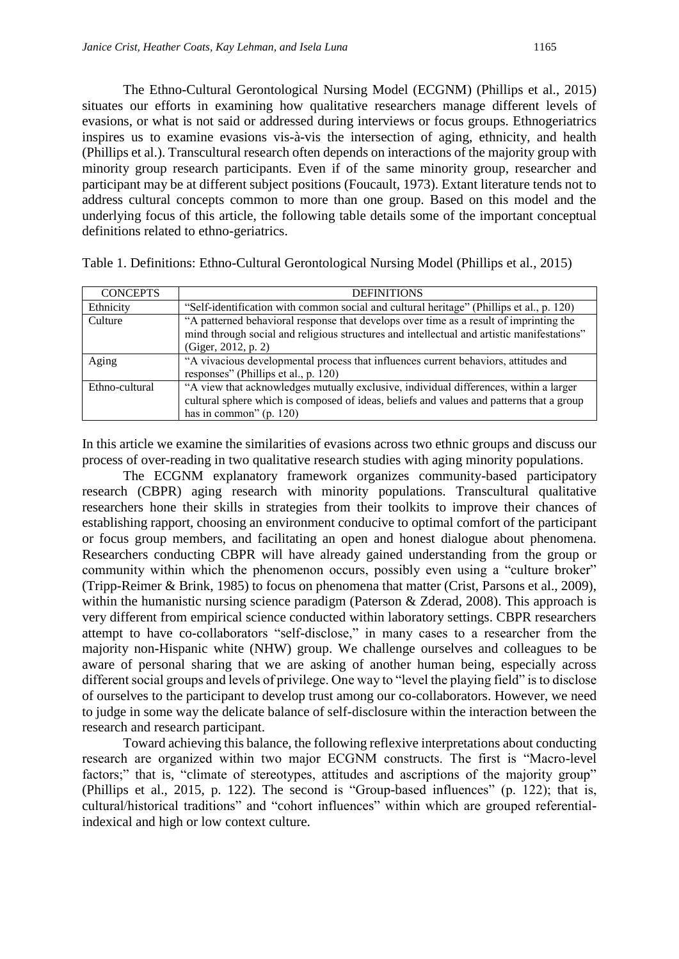The Ethno-Cultural Gerontological Nursing Model (ECGNM) (Phillips et al., 2015) situates our efforts in examining how qualitative researchers manage different levels of evasions, or what is not said or addressed during interviews or focus groups. Ethnogeriatrics inspires us to examine evasions vis-à-vis the intersection of aging, ethnicity, and health (Phillips et al.). Transcultural research often depends on interactions of the majority group with minority group research participants. Even if of the same minority group, researcher and participant may be at different subject positions (Foucault, 1973). Extant literature tends not to address cultural concepts common to more than one group. Based on this model and the underlying focus of this article, the following table details some of the important conceptual definitions related to ethno-geriatrics.

| <b>CONCEPTS</b> | <b>DEFINITIONS</b>                                                                         |
|-----------------|--------------------------------------------------------------------------------------------|
| Ethnicity       | "Self-identification with common social and cultural heritage" (Phillips et al., p. 120)   |
| Culture         | "A patterned behavioral response that develops over time as a result of imprinting the     |
|                 | mind through social and religious structures and intellectual and artistic manifestations" |
|                 | (Giger, 2012, p. 2)                                                                        |
| Aging           | "A vivacious developmental process that influences current behaviors, attitudes and        |
|                 | responses" (Phillips et al., p. 120)                                                       |
| Ethno-cultural  | "A view that acknowledges mutually exclusive, individual differences, within a larger      |
|                 | cultural sphere which is composed of ideas, beliefs and values and patterns that a group   |
|                 | has in common" $(p. 120)$                                                                  |

Table 1. Definitions: Ethno-Cultural Gerontological Nursing Model (Phillips et al., 2015)

In this article we examine the similarities of evasions across two ethnic groups and discuss our process of over-reading in two qualitative research studies with aging minority populations.

The ECGNM explanatory framework organizes community-based participatory research (CBPR) aging research with minority populations. Transcultural qualitative researchers hone their skills in strategies from their toolkits to improve their chances of establishing rapport, choosing an environment conducive to optimal comfort of the participant or focus group members, and facilitating an open and honest dialogue about phenomena. Researchers conducting CBPR will have already gained understanding from the group or community within which the phenomenon occurs, possibly even using a "culture broker" (Tripp-Reimer & Brink, 1985) to focus on phenomena that matter (Crist, Parsons et al., 2009), within the humanistic nursing science paradigm (Paterson & Zderad, 2008). This approach is very different from empirical science conducted within laboratory settings. CBPR researchers attempt to have co-collaborators "self-disclose," in many cases to a researcher from the majority non-Hispanic white (NHW) group. We challenge ourselves and colleagues to be aware of personal sharing that we are asking of another human being, especially across different social groups and levels of privilege. One way to "level the playing field" is to disclose of ourselves to the participant to develop trust among our co-collaborators. However, we need to judge in some way the delicate balance of self-disclosure within the interaction between the research and research participant.

Toward achieving this balance, the following reflexive interpretations about conducting research are organized within two major ECGNM constructs. The first is "Macro-level factors;" that is, "climate of stereotypes, attitudes and ascriptions of the majority group" (Phillips et al., 2015, p. 122). The second is "Group-based influences" (p. 122); that is, cultural/historical traditions" and "cohort influences" within which are grouped referentialindexical and high or low context culture.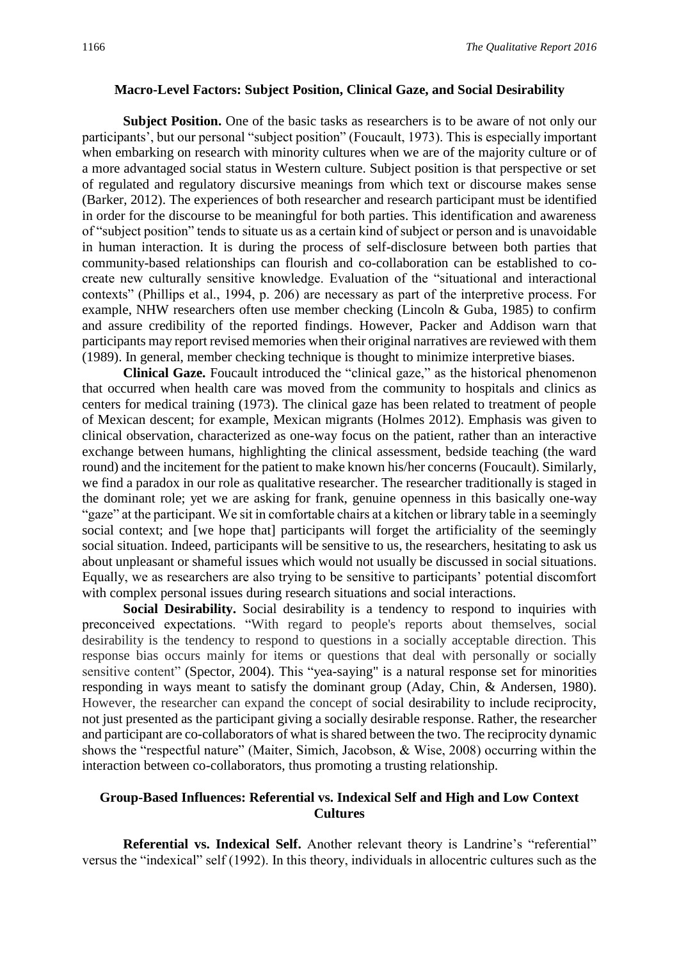#### **Macro-Level Factors: Subject Position, Clinical Gaze, and Social Desirability**

**Subject Position.** One of the basic tasks as researchers is to be aware of not only our participants', but our personal "subject position" (Foucault, 1973). This is especially important when embarking on research with minority cultures when we are of the majority culture or of a more advantaged social status in Western culture. Subject position is that perspective or set of regulated and regulatory discursive meanings from which text or discourse makes sense (Barker, 2012). The experiences of both researcher and research participant must be identified in order for the discourse to be meaningful for both parties. This identification and awareness of "subject position" tends to situate us as a certain kind of subject or person and is unavoidable in human interaction. It is during the process of self-disclosure between both parties that community-based relationships can flourish and co-collaboration can be established to cocreate new culturally sensitive knowledge. Evaluation of the "situational and interactional contexts" (Phillips et al., 1994, p. 206) are necessary as part of the interpretive process. For example, NHW researchers often use member checking (Lincoln & Guba, 1985) to confirm and assure credibility of the reported findings. However, Packer and Addison warn that participants may report revised memories when their original narratives are reviewed with them (1989). In general, member checking technique is thought to minimize interpretive biases.

**Clinical Gaze.** Foucault introduced the "clinical gaze," as the historical phenomenon that occurred when health care was moved from the community to hospitals and clinics as centers for medical training (1973). The clinical gaze has been related to treatment of people of Mexican descent; for example, Mexican migrants (Holmes 2012). Emphasis was given to clinical observation, characterized as one-way focus on the patient, rather than an interactive exchange between humans, highlighting the clinical assessment, bedside teaching (the ward round) and the incitement for the patient to make known his/her concerns (Foucault). Similarly, we find a paradox in our role as qualitative researcher. The researcher traditionally is staged in the dominant role; yet we are asking for frank, genuine openness in this basically one-way "gaze" at the participant. We sit in comfortable chairs at a kitchen or library table in a seemingly social context; and [we hope that] participants will forget the artificiality of the seemingly social situation. Indeed, participants will be sensitive to us, the researchers, hesitating to ask us about unpleasant or shameful issues which would not usually be discussed in social situations. Equally, we as researchers are also trying to be sensitive to participants' potential discomfort with complex personal issues during research situations and social interactions.

**Social Desirability.** Social desirability is a tendency to respond to inquiries with preconceived expectations. "With regard to people's reports about themselves, social desirability is the tendency to respond to questions in a socially acceptable direction. This response bias occurs mainly for items or questions that deal with personally or socially sensitive content" (Spector, 2004). This "yea-saying" is a natural response set for minorities responding in ways meant to satisfy the dominant group (Aday, Chin, & Andersen, 1980). However, the researcher can expand the concept of social desirability to include reciprocity, not just presented as the participant giving a socially desirable response. Rather, the researcher and participant are co-collaborators of what is shared between the two. The reciprocity dynamic shows the "respectful nature" (Maiter, Simich, Jacobson, & Wise, 2008) occurring within the interaction between co-collaborators, thus promoting a trusting relationship.

## **Group-Based Influences: Referential vs. Indexical Self and High and Low Context Cultures**

**Referential vs. Indexical Self.** Another relevant theory is Landrine's "referential" versus the "indexical" self (1992). In this theory, individuals in allocentric cultures such as the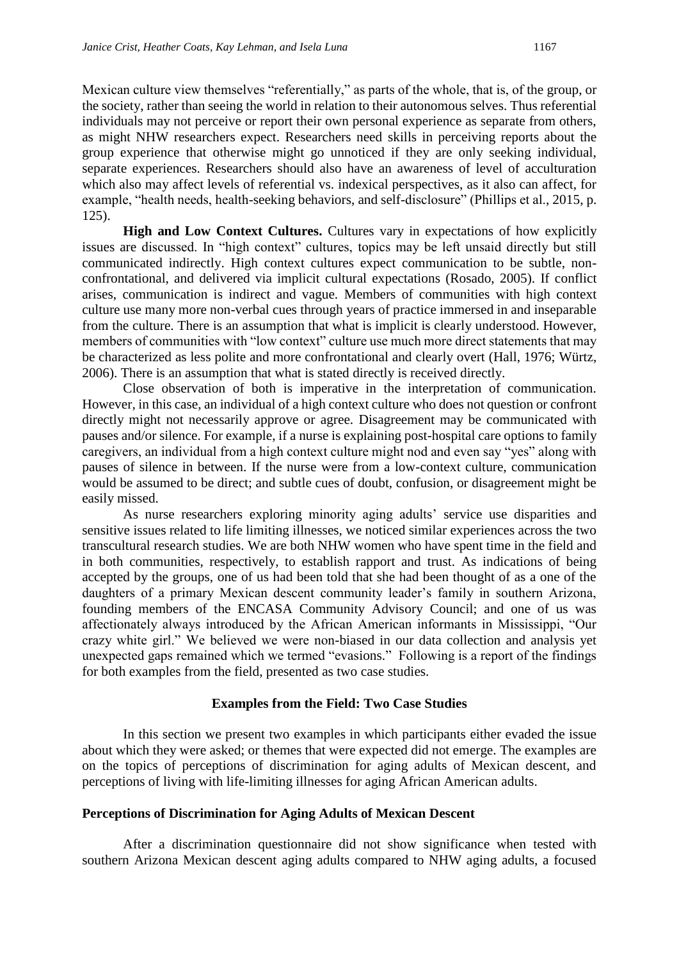Mexican culture view themselves "referentially," as parts of the whole, that is, of the group, or the society, rather than seeing the world in relation to their autonomous selves. Thus referential individuals may not perceive or report their own personal experience as separate from others, as might NHW researchers expect. Researchers need skills in perceiving reports about the group experience that otherwise might go unnoticed if they are only seeking individual, separate experiences. Researchers should also have an awareness of level of acculturation which also may affect levels of referential vs. indexical perspectives, as it also can affect, for example, "health needs, health-seeking behaviors, and self-disclosure" (Phillips et al., 2015, p. 125).

**High and Low Context Cultures.** Cultures vary in expectations of how explicitly issues are discussed. In "high context" cultures, topics may be left unsaid directly but still communicated indirectly. High context cultures expect communication to be subtle, nonconfrontational, and delivered via implicit cultural expectations (Rosado, 2005). If conflict arises, communication is indirect and vague. Members of communities with high context culture use many more non-verbal cues through years of practice immersed in and inseparable from the culture. There is an assumption that what is implicit is clearly understood. However, members of communities with "low context" culture use much more direct statements that may be characterized as less polite and more confrontational and clearly overt (Hall, 1976; Würtz, 2006). There is an assumption that what is stated directly is received directly.

Close observation of both is imperative in the interpretation of communication. However, in this case, an individual of a high context culture who does not question or confront directly might not necessarily approve or agree. Disagreement may be communicated with pauses and/or silence. For example, if a nurse is explaining post-hospital care options to family caregivers, an individual from a high context culture might nod and even say "yes" along with pauses of silence in between. If the nurse were from a low-context culture, communication would be assumed to be direct; and subtle cues of doubt, confusion, or disagreement might be easily missed.

As nurse researchers exploring minority aging adults' service use disparities and sensitive issues related to life limiting illnesses, we noticed similar experiences across the two transcultural research studies. We are both NHW women who have spent time in the field and in both communities, respectively, to establish rapport and trust. As indications of being accepted by the groups, one of us had been told that she had been thought of as a one of the daughters of a primary Mexican descent community leader's family in southern Arizona, founding members of the ENCASA Community Advisory Council; and one of us was affectionately always introduced by the African American informants in Mississippi, "Our crazy white girl." We believed we were non-biased in our data collection and analysis yet unexpected gaps remained which we termed "evasions." Following is a report of the findings for both examples from the field, presented as two case studies.

#### **Examples from the Field: Two Case Studies**

In this section we present two examples in which participants either evaded the issue about which they were asked; or themes that were expected did not emerge. The examples are on the topics of perceptions of discrimination for aging adults of Mexican descent, and perceptions of living with life-limiting illnesses for aging African American adults.

#### **Perceptions of Discrimination for Aging Adults of Mexican Descent**

After a discrimination questionnaire did not show significance when tested with southern Arizona Mexican descent aging adults compared to NHW aging adults, a focused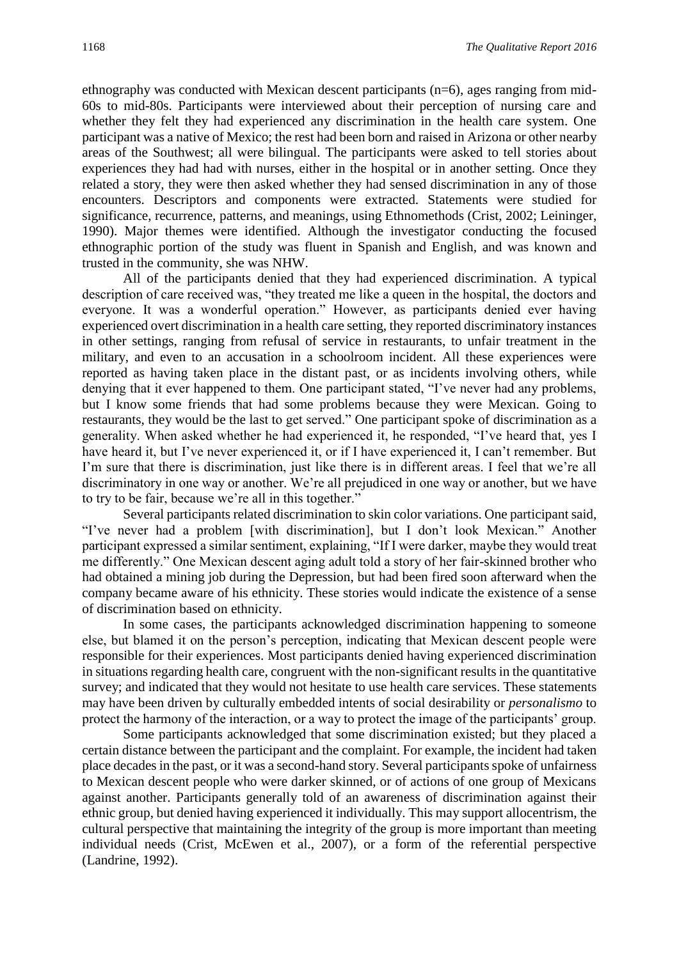ethnography was conducted with Mexican descent participants (n=6), ages ranging from mid-60s to mid-80s. Participants were interviewed about their perception of nursing care and whether they felt they had experienced any discrimination in the health care system. One participant was a native of Mexico; the rest had been born and raised in Arizona or other nearby areas of the Southwest; all were bilingual. The participants were asked to tell stories about experiences they had had with nurses, either in the hospital or in another setting. Once they related a story, they were then asked whether they had sensed discrimination in any of those encounters. Descriptors and components were extracted. Statements were studied for significance, recurrence, patterns, and meanings, using Ethnomethods (Crist, 2002; Leininger, 1990). Major themes were identified. Although the investigator conducting the focused ethnographic portion of the study was fluent in Spanish and English, and was known and trusted in the community, she was NHW.

All of the participants denied that they had experienced discrimination. A typical description of care received was, "they treated me like a queen in the hospital, the doctors and everyone. It was a wonderful operation." However, as participants denied ever having experienced overt discrimination in a health care setting, they reported discriminatory instances in other settings, ranging from refusal of service in restaurants, to unfair treatment in the military, and even to an accusation in a schoolroom incident. All these experiences were reported as having taken place in the distant past, or as incidents involving others, while denying that it ever happened to them. One participant stated, "I've never had any problems, but I know some friends that had some problems because they were Mexican. Going to restaurants, they would be the last to get served." One participant spoke of discrimination as a generality. When asked whether he had experienced it, he responded, "I've heard that, yes I have heard it, but I've never experienced it, or if I have experienced it, I can't remember. But I'm sure that there is discrimination, just like there is in different areas. I feel that we're all discriminatory in one way or another. We're all prejudiced in one way or another, but we have to try to be fair, because we're all in this together."

Several participants related discrimination to skin color variations. One participant said, "I've never had a problem [with discrimination], but I don't look Mexican." Another participant expressed a similar sentiment, explaining, "If I were darker, maybe they would treat me differently." One Mexican descent aging adult told a story of her fair-skinned brother who had obtained a mining job during the Depression, but had been fired soon afterward when the company became aware of his ethnicity. These stories would indicate the existence of a sense of discrimination based on ethnicity.

In some cases, the participants acknowledged discrimination happening to someone else, but blamed it on the person's perception, indicating that Mexican descent people were responsible for their experiences. Most participants denied having experienced discrimination in situations regarding health care, congruent with the non-significant results in the quantitative survey; and indicated that they would not hesitate to use health care services. These statements may have been driven by culturally embedded intents of social desirability or *personalismo* to protect the harmony of the interaction, or a way to protect the image of the participants' group.

Some participants acknowledged that some discrimination existed; but they placed a certain distance between the participant and the complaint. For example, the incident had taken place decades in the past, or it was a second-hand story. Several participants spoke of unfairness to Mexican descent people who were darker skinned, or of actions of one group of Mexicans against another. Participants generally told of an awareness of discrimination against their ethnic group, but denied having experienced it individually. This may support allocentrism, the cultural perspective that maintaining the integrity of the group is more important than meeting individual needs (Crist, McEwen et al., 2007), or a form of the referential perspective (Landrine, 1992).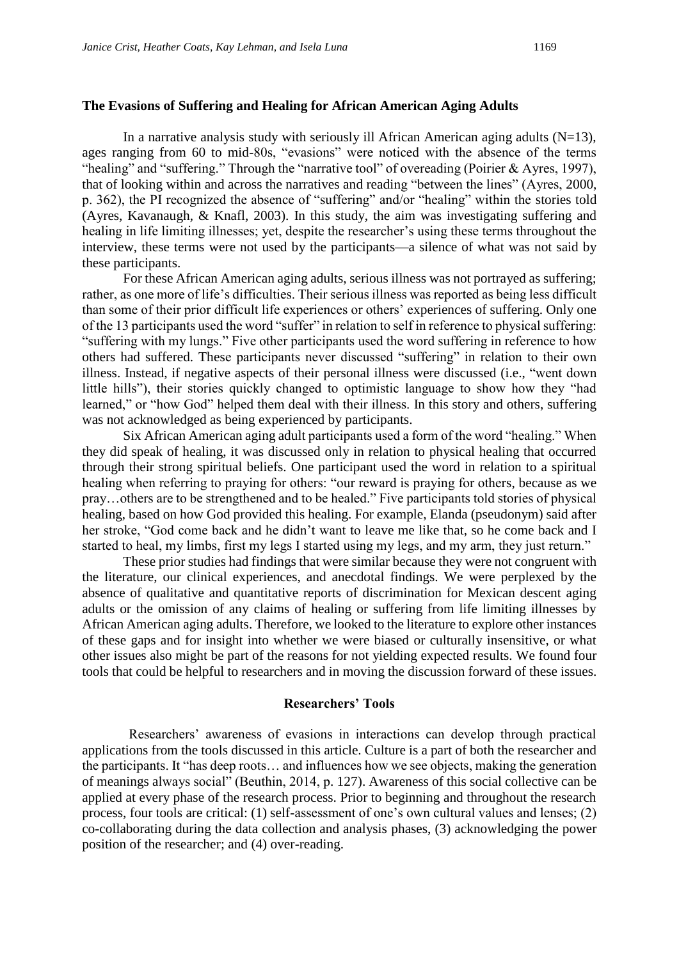#### **The Evasions of Suffering and Healing for African American Aging Adults**

In a narrative analysis study with seriously ill African American aging adults  $(N=13)$ , ages ranging from 60 to mid-80s, "evasions" were noticed with the absence of the terms "healing" and "suffering." Through the "narrative tool" of overeading (Poirier & Ayres, 1997), that of looking within and across the narratives and reading "between the lines" (Ayres, 2000, p. 362), the PI recognized the absence of "suffering" and/or "healing" within the stories told (Ayres, Kavanaugh, & Knafl, 2003). In this study, the aim was investigating suffering and healing in life limiting illnesses; yet, despite the researcher's using these terms throughout the interview, these terms were not used by the participants—a silence of what was not said by these participants.

For these African American aging adults, serious illness was not portrayed as suffering; rather, as one more of life's difficulties. Their serious illness was reported as being less difficult than some of their prior difficult life experiences or others' experiences of suffering. Only one of the 13 participants used the word "suffer" in relation to self in reference to physical suffering: "suffering with my lungs." Five other participants used the word suffering in reference to how others had suffered. These participants never discussed "suffering" in relation to their own illness. Instead, if negative aspects of their personal illness were discussed (i.e., "went down little hills"), their stories quickly changed to optimistic language to show how they "had learned," or "how God" helped them deal with their illness. In this story and others, suffering was not acknowledged as being experienced by participants.

Six African American aging adult participants used a form of the word "healing." When they did speak of healing, it was discussed only in relation to physical healing that occurred through their strong spiritual beliefs. One participant used the word in relation to a spiritual healing when referring to praying for others: "our reward is praying for others, because as we pray…others are to be strengthened and to be healed." Five participants told stories of physical healing, based on how God provided this healing. For example, Elanda (pseudonym) said after her stroke, "God come back and he didn't want to leave me like that, so he come back and I started to heal, my limbs, first my legs I started using my legs, and my arm, they just return."

These prior studies had findings that were similar because they were not congruent with the literature, our clinical experiences, and anecdotal findings. We were perplexed by the absence of qualitative and quantitative reports of discrimination for Mexican descent aging adults or the omission of any claims of healing or suffering from life limiting illnesses by African American aging adults. Therefore, we looked to the literature to explore other instances of these gaps and for insight into whether we were biased or culturally insensitive, or what other issues also might be part of the reasons for not yielding expected results. We found four tools that could be helpful to researchers and in moving the discussion forward of these issues.

#### **Researchers' Tools**

 Researchers' awareness of evasions in interactions can develop through practical applications from the tools discussed in this article. Culture is a part of both the researcher and the participants. It "has deep roots… and influences how we see objects, making the generation of meanings always social" (Beuthin, 2014, p. 127). Awareness of this social collective can be applied at every phase of the research process. Prior to beginning and throughout the research process, four tools are critical: (1) self-assessment of one's own cultural values and lenses; (2) co-collaborating during the data collection and analysis phases, (3) acknowledging the power position of the researcher; and (4) over-reading.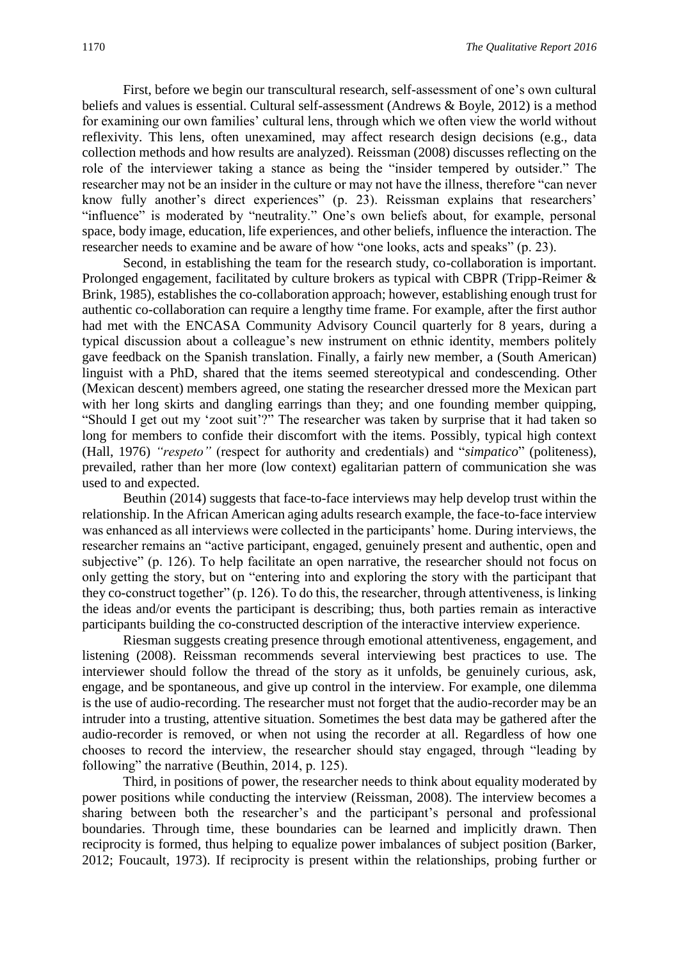First, before we begin our transcultural research, self-assessment of one's own cultural beliefs and values is essential. Cultural self-assessment (Andrews & Boyle, 2012) is a method for examining our own families' cultural lens, through which we often view the world without reflexivity. This lens, often unexamined, may affect research design decisions (e.g., data collection methods and how results are analyzed). Reissman (2008) discusses reflecting on the role of the interviewer taking a stance as being the "insider tempered by outsider." The researcher may not be an insider in the culture or may not have the illness, therefore "can never know fully another's direct experiences" (p. 23). Reissman explains that researchers' "influence" is moderated by "neutrality." One's own beliefs about, for example, personal space, body image, education, life experiences, and other beliefs, influence the interaction. The researcher needs to examine and be aware of how "one looks, acts and speaks" (p. 23).

Second, in establishing the team for the research study, co-collaboration is important. Prolonged engagement, facilitated by culture brokers as typical with CBPR (Tripp-Reimer & Brink, 1985), establishes the co-collaboration approach; however, establishing enough trust for authentic co-collaboration can require a lengthy time frame. For example, after the first author had met with the ENCASA Community Advisory Council quarterly for 8 years, during a typical discussion about a colleague's new instrument on ethnic identity, members politely gave feedback on the Spanish translation. Finally, a fairly new member, a (South American) linguist with a PhD, shared that the items seemed stereotypical and condescending. Other (Mexican descent) members agreed, one stating the researcher dressed more the Mexican part with her long skirts and dangling earrings than they; and one founding member quipping, "Should I get out my 'zoot suit'?" The researcher was taken by surprise that it had taken so long for members to confide their discomfort with the items. Possibly, typical high context (Hall, 1976) *"respeto"* (respect for authority and credentials) and "*simpatico*" (politeness), prevailed, rather than her more (low context) egalitarian pattern of communication she was used to and expected.

Beuthin (2014) suggests that face-to-face interviews may help develop trust within the relationship. In the African American aging adults research example, the face-to-face interview was enhanced as all interviews were collected in the participants' home. During interviews, the researcher remains an "active participant, engaged, genuinely present and authentic, open and subjective" (p. 126). To help facilitate an open narrative, the researcher should not focus on only getting the story, but on "entering into and exploring the story with the participant that they co-construct together" (p. 126). To do this, the researcher, through attentiveness, is linking the ideas and/or events the participant is describing; thus, both parties remain as interactive participants building the co-constructed description of the interactive interview experience.

Riesman suggests creating presence through emotional attentiveness, engagement, and listening (2008). Reissman recommends several interviewing best practices to use. The interviewer should follow the thread of the story as it unfolds, be genuinely curious, ask, engage, and be spontaneous, and give up control in the interview. For example, one dilemma is the use of audio-recording. The researcher must not forget that the audio-recorder may be an intruder into a trusting, attentive situation. Sometimes the best data may be gathered after the audio-recorder is removed, or when not using the recorder at all. Regardless of how one chooses to record the interview, the researcher should stay engaged, through "leading by following" the narrative (Beuthin, 2014, p. 125).

Third, in positions of power, the researcher needs to think about equality moderated by power positions while conducting the interview (Reissman, 2008). The interview becomes a sharing between both the researcher's and the participant's personal and professional boundaries. Through time, these boundaries can be learned and implicitly drawn. Then reciprocity is formed, thus helping to equalize power imbalances of subject position (Barker, 2012; Foucault, 1973). If reciprocity is present within the relationships, probing further or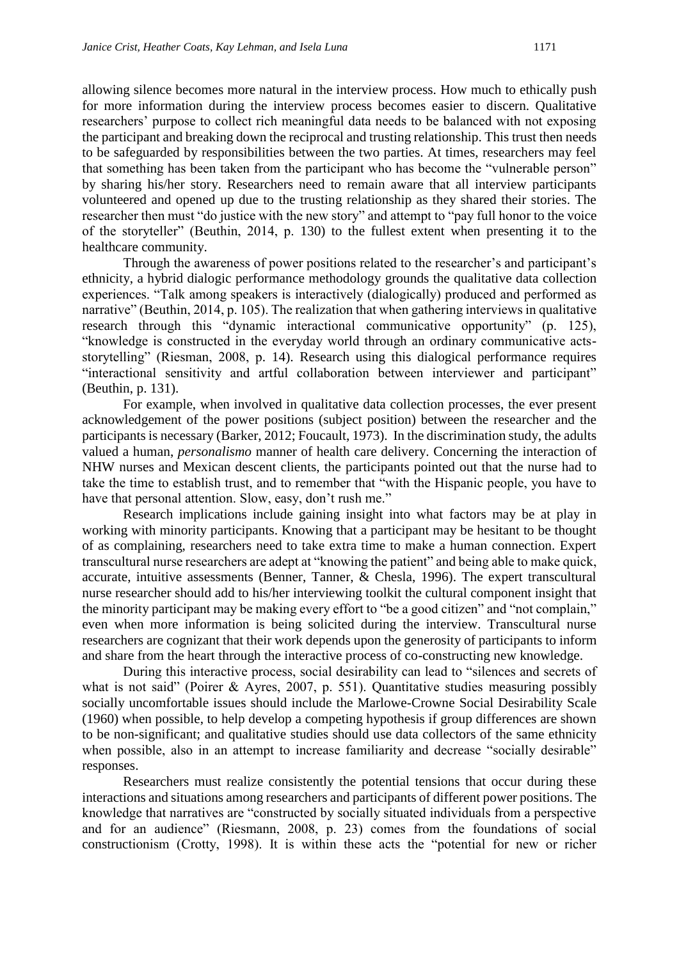allowing silence becomes more natural in the interview process. How much to ethically push for more information during the interview process becomes easier to discern. Qualitative researchers' purpose to collect rich meaningful data needs to be balanced with not exposing the participant and breaking down the reciprocal and trusting relationship. This trust then needs to be safeguarded by responsibilities between the two parties. At times, researchers may feel that something has been taken from the participant who has become the "vulnerable person" by sharing his/her story. Researchers need to remain aware that all interview participants volunteered and opened up due to the trusting relationship as they shared their stories. The researcher then must "do justice with the new story" and attempt to "pay full honor to the voice of the storyteller" (Beuthin, 2014, p. 130) to the fullest extent when presenting it to the healthcare community.

Through the awareness of power positions related to the researcher's and participant's ethnicity, a hybrid dialogic performance methodology grounds the qualitative data collection experiences. "Talk among speakers is interactively (dialogically) produced and performed as narrative" (Beuthin, 2014, p. 105). The realization that when gathering interviews in qualitative research through this "dynamic interactional communicative opportunity" (p. 125), "knowledge is constructed in the everyday world through an ordinary communicative actsstorytelling" (Riesman, 2008, p. 14). Research using this dialogical performance requires "interactional sensitivity and artful collaboration between interviewer and participant" (Beuthin, p. 131).

For example, when involved in qualitative data collection processes, the ever present acknowledgement of the power positions (subject position) between the researcher and the participants is necessary (Barker, 2012; Foucault, 1973). In the discrimination study, the adults valued a human, *personalismo* manner of health care delivery. Concerning the interaction of NHW nurses and Mexican descent clients, the participants pointed out that the nurse had to take the time to establish trust, and to remember that "with the Hispanic people, you have to have that personal attention. Slow, easy, don't rush me."

Research implications include gaining insight into what factors may be at play in working with minority participants. Knowing that a participant may be hesitant to be thought of as complaining, researchers need to take extra time to make a human connection. Expert transcultural nurse researchers are adept at "knowing the patient" and being able to make quick, accurate, intuitive assessments (Benner, Tanner, & Chesla, 1996). The expert transcultural nurse researcher should add to his/her interviewing toolkit the cultural component insight that the minority participant may be making every effort to "be a good citizen" and "not complain," even when more information is being solicited during the interview. Transcultural nurse researchers are cognizant that their work depends upon the generosity of participants to inform and share from the heart through the interactive process of co-constructing new knowledge.

During this interactive process, social desirability can lead to "silences and secrets of what is not said" (Poirer & Ayres, 2007, p. 551). Quantitative studies measuring possibly socially uncomfortable issues should include the Marlowe-Crowne Social Desirability Scale (1960) when possible, to help develop a competing hypothesis if group differences are shown to be non-significant; and qualitative studies should use data collectors of the same ethnicity when possible, also in an attempt to increase familiarity and decrease "socially desirable" responses.

Researchers must realize consistently the potential tensions that occur during these interactions and situations among researchers and participants of different power positions. The knowledge that narratives are "constructed by socially situated individuals from a perspective and for an audience" (Riesmann, 2008, p. 23) comes from the foundations of social constructionism (Crotty, 1998). It is within these acts the "potential for new or richer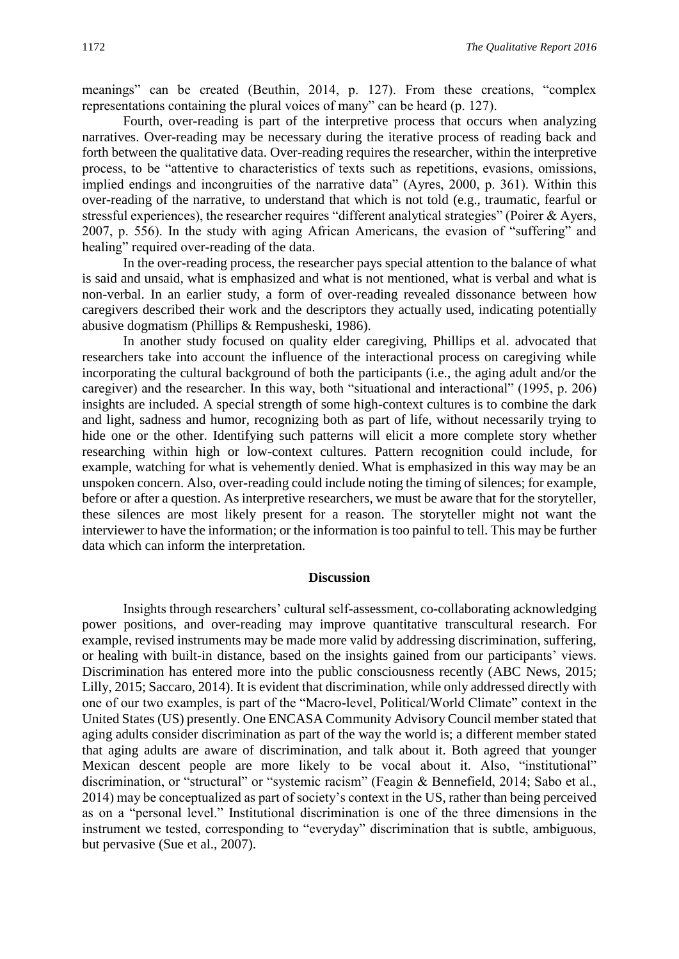meanings" can be created (Beuthin, 2014, p. 127). From these creations, "complex representations containing the plural voices of many" can be heard (p. 127).

Fourth, over-reading is part of the interpretive process that occurs when analyzing narratives. Over-reading may be necessary during the iterative process of reading back and forth between the qualitative data. Over-reading requires the researcher, within the interpretive process, to be "attentive to characteristics of texts such as repetitions, evasions, omissions, implied endings and incongruities of the narrative data" (Ayres, 2000, p. 361). Within this over-reading of the narrative, to understand that which is not told (e.g., traumatic, fearful or stressful experiences), the researcher requires "different analytical strategies" (Poirer & Ayers, 2007, p. 556). In the study with aging African Americans, the evasion of "suffering" and healing" required over-reading of the data.

In the over-reading process, the researcher pays special attention to the balance of what is said and unsaid, what is emphasized and what is not mentioned, what is verbal and what is non-verbal. In an earlier study, a form of over-reading revealed dissonance between how caregivers described their work and the descriptors they actually used, indicating potentially abusive dogmatism (Phillips & Rempusheski, 1986).

In another study focused on quality elder caregiving, Phillips et al. advocated that researchers take into account the influence of the interactional process on caregiving while incorporating the cultural background of both the participants (i.e., the aging adult and/or the caregiver) and the researcher. In this way, both "situational and interactional" (1995, p. 206) insights are included. A special strength of some high-context cultures is to combine the dark and light, sadness and humor, recognizing both as part of life, without necessarily trying to hide one or the other. Identifying such patterns will elicit a more complete story whether researching within high or low-context cultures. Pattern recognition could include, for example, watching for what is vehemently denied. What is emphasized in this way may be an unspoken concern. Also, over-reading could include noting the timing of silences; for example, before or after a question. As interpretive researchers, we must be aware that for the storyteller, these silences are most likely present for a reason. The storyteller might not want the interviewer to have the information; or the information is too painful to tell. This may be further data which can inform the interpretation.

#### **Discussion**

Insights through researchers' cultural self-assessment, co-collaborating acknowledging power positions, and over-reading may improve quantitative transcultural research. For example, revised instruments may be made more valid by addressing discrimination, suffering, or healing with built-in distance, based on the insights gained from our participants' views. Discrimination has entered more into the public consciousness recently (ABC News, 2015; Lilly, 2015; Saccaro, 2014). It is evident that discrimination, while only addressed directly with one of our two examples, is part of the "Macro-level, Political/World Climate" context in the United States (US) presently. One ENCASA Community Advisory Council member stated that aging adults consider discrimination as part of the way the world is; a different member stated that aging adults are aware of discrimination, and talk about it. Both agreed that younger Mexican descent people are more likely to be vocal about it. Also, "institutional" discrimination, or "structural" or "systemic racism" (Feagin & Bennefield, 2014; Sabo et al., 2014) may be conceptualized as part of society's context in the US, rather than being perceived as on a "personal level." Institutional discrimination is one of the three dimensions in the instrument we tested, corresponding to "everyday" discrimination that is subtle, ambiguous, but pervasive (Sue et al., 2007).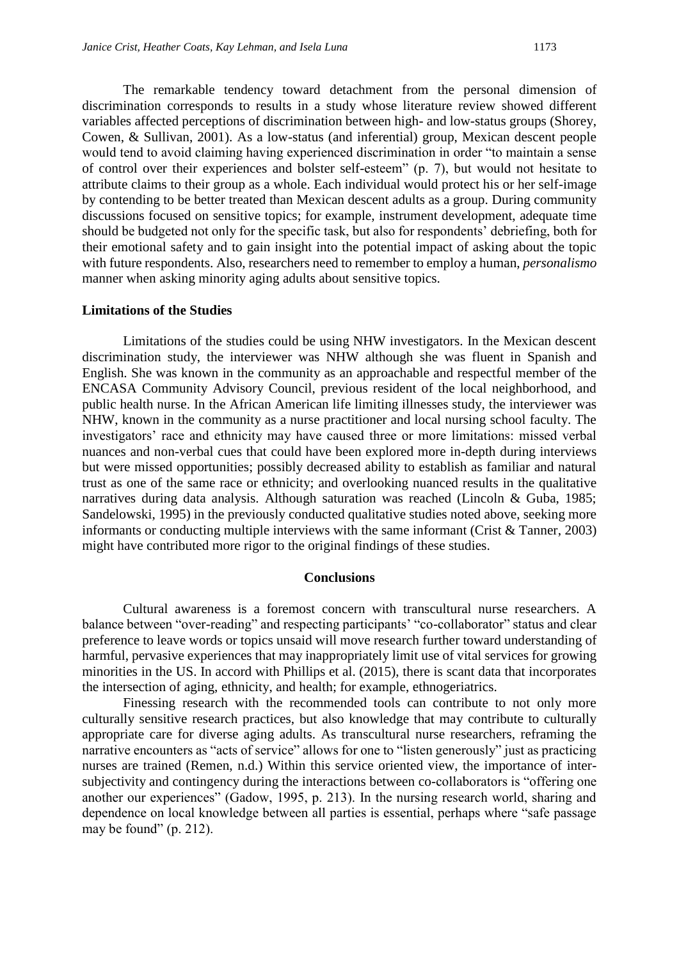The remarkable tendency toward detachment from the personal dimension of discrimination corresponds to results in a study whose literature review showed different variables affected perceptions of discrimination between high- and low-status groups (Shorey, Cowen, & Sullivan, 2001). As a low-status (and inferential) group, Mexican descent people would tend to avoid claiming having experienced discrimination in order "to maintain a sense of control over their experiences and bolster self-esteem" (p. 7), but would not hesitate to attribute claims to their group as a whole. Each individual would protect his or her self-image by contending to be better treated than Mexican descent adults as a group. During community discussions focused on sensitive topics; for example, instrument development, adequate time should be budgeted not only for the specific task, but also for respondents' debriefing, both for their emotional safety and to gain insight into the potential impact of asking about the topic with future respondents. Also, researchers need to remember to employ a human, *personalismo* manner when asking minority aging adults about sensitive topics.

#### **Limitations of the Studies**

Limitations of the studies could be using NHW investigators. In the Mexican descent discrimination study, the interviewer was NHW although she was fluent in Spanish and English. She was known in the community as an approachable and respectful member of the ENCASA Community Advisory Council, previous resident of the local neighborhood, and public health nurse. In the African American life limiting illnesses study, the interviewer was NHW, known in the community as a nurse practitioner and local nursing school faculty. The investigators' race and ethnicity may have caused three or more limitations: missed verbal nuances and non-verbal cues that could have been explored more in-depth during interviews but were missed opportunities; possibly decreased ability to establish as familiar and natural trust as one of the same race or ethnicity; and overlooking nuanced results in the qualitative narratives during data analysis. Although saturation was reached (Lincoln & Guba, 1985; Sandelowski, 1995) in the previously conducted qualitative studies noted above, seeking more informants or conducting multiple interviews with the same informant (Crist & Tanner, 2003) might have contributed more rigor to the original findings of these studies.

#### **Conclusions**

Cultural awareness is a foremost concern with transcultural nurse researchers. A balance between "over-reading" and respecting participants' "co-collaborator" status and clear preference to leave words or topics unsaid will move research further toward understanding of harmful, pervasive experiences that may inappropriately limit use of vital services for growing minorities in the US. In accord with Phillips et al. (2015), there is scant data that incorporates the intersection of aging, ethnicity, and health; for example, ethnogeriatrics.

Finessing research with the recommended tools can contribute to not only more culturally sensitive research practices, but also knowledge that may contribute to culturally appropriate care for diverse aging adults. As transcultural nurse researchers, reframing the narrative encounters as "acts of service" allows for one to "listen generously" just as practicing nurses are trained (Remen, n.d.) Within this service oriented view, the importance of intersubjectivity and contingency during the interactions between co-collaborators is "offering one another our experiences" (Gadow, 1995, p. 213). In the nursing research world, sharing and dependence on local knowledge between all parties is essential, perhaps where "safe passage may be found" (p. 212).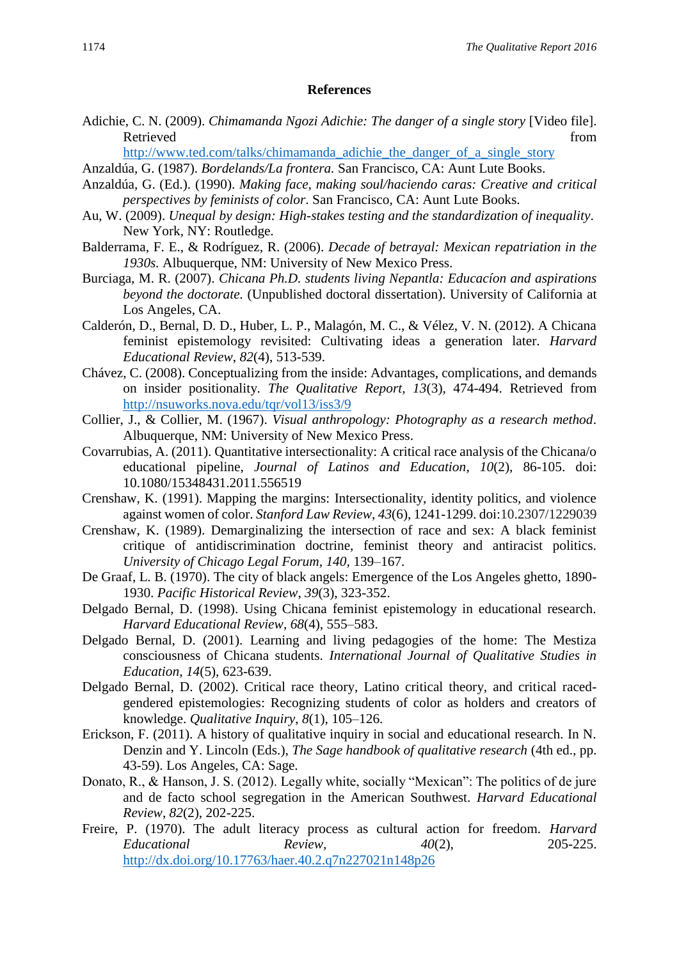#### **References**

- Adichie, C. N. (2009). *Chimamanda Ngozi Adichie: The danger of a single story* [Video file]. Retrieved from the state of the state of the state of the state of the state of the state of the state of the state of the state of the state of the state of the state of the state of the state of the state of the state of
	- [http://www.ted.com/talks/chimamanda\\_adichie\\_the\\_danger\\_of\\_a\\_single\\_story](http://www.ted.com/talks/chimamanda_adichie_the_danger_of_a_single_story)
- Anzaldúa, G. (1987). *Bordelands/La frontera.* San Francisco, CA: Aunt Lute Books.
- Anzaldúa, G. (Ed.). (1990). *Making face, making soul/haciendo caras: Creative and critical perspectives by feminists of color*. San Francisco, CA: Aunt Lute Books.
- Au, W. (2009). *Unequal by design: High-stakes testing and the standardization of inequality*. New York, NY: Routledge.
- Balderrama, F. E., & Rodríguez, R. (2006). *Decade of betrayal: Mexican repatriation in the 1930s.* Albuquerque, NM: University of New Mexico Press.
- Burciaga, M. R. (2007). *Chicana Ph.D. students living Nepantla: Educacíon and aspirations beyond the doctorate.* (Unpublished doctoral dissertation). University of California at Los Angeles, CA.
- Calderón, D., Bernal, D. D., Huber, L. P., Malagón, M. C., & Vélez, V. N. (2012). A Chicana feminist epistemology revisited: Cultivating ideas a generation later. *Harvard Educational Review*, *82*(4), 513-539.
- Chávez, C. (2008). Conceptualizing from the inside: Advantages, complications, and demands on insider positionality. *The Qualitative Report, 13*(3), 474-494. Retrieved from <http://nsuworks.nova.edu/tqr/vol13/iss3/9>
- Collier, J., & Collier, M. (1967). *Visual anthropology: Photography as a research method*. Albuquerque, NM: University of New Mexico Press.
- Covarrubias, A. (2011). Quantitative intersectionality: A critical race analysis of the Chicana/o educational pipeline, *Journal of Latinos and Education*, *10*(2), 86-105. doi: 10.1080/15348431.2011.556519
- Crenshaw, K. (1991). Mapping the margins: Intersectionality, identity politics, and violence against women of color. *Stanford Law Review*, *43*(6), 1241-1299. doi:10.2307/1229039
- Crenshaw, K. (1989). Demarginalizing the intersection of race and sex: A black feminist critique of antidiscrimination doctrine, feminist theory and antiracist politics. *University of Chicago Legal Forum, 140,* 139–167.
- De Graaf, L. B. (1970). The city of black angels: Emergence of the Los Angeles ghetto, 1890- 1930. *Pacific Historical Review*, *39*(3), 323-352.
- Delgado Bernal, D. (1998). Using Chicana feminist epistemology in educational research. *Harvard Educational Review*, *68*(4), 555–583.
- Delgado Bernal, D. (2001). Learning and living pedagogies of the home: The Mestiza consciousness of Chicana students. *International Journal of Qualitative Studies in Education*, *14*(5), 623-639.
- Delgado Bernal, D. (2002). Critical race theory, Latino critical theory, and critical racedgendered epistemologies: Recognizing students of color as holders and creators of knowledge. *Qualitative Inquiry*, *8*(1), 105–126.
- Erickson, F. (2011). A history of qualitative inquiry in social and educational research. In N. Denzin and Y. Lincoln (Eds.), *The Sage handbook of qualitative research* (4th ed., pp. 43-59). Los Angeles, CA: Sage.
- Donato, R., & Hanson, J. S. (2012). Legally white, socially "Mexican": The politics of de jure and de facto school segregation in the American Southwest. *Harvard Educational Review*, *82*(2), 202-225.
- Freire, P. (1970). The adult literacy process as cultural action for freedom. *Harvard Educational Review, 40*(2), 205-225. <http://dx.doi.org/10.17763/haer.40.2.q7n227021n148p26>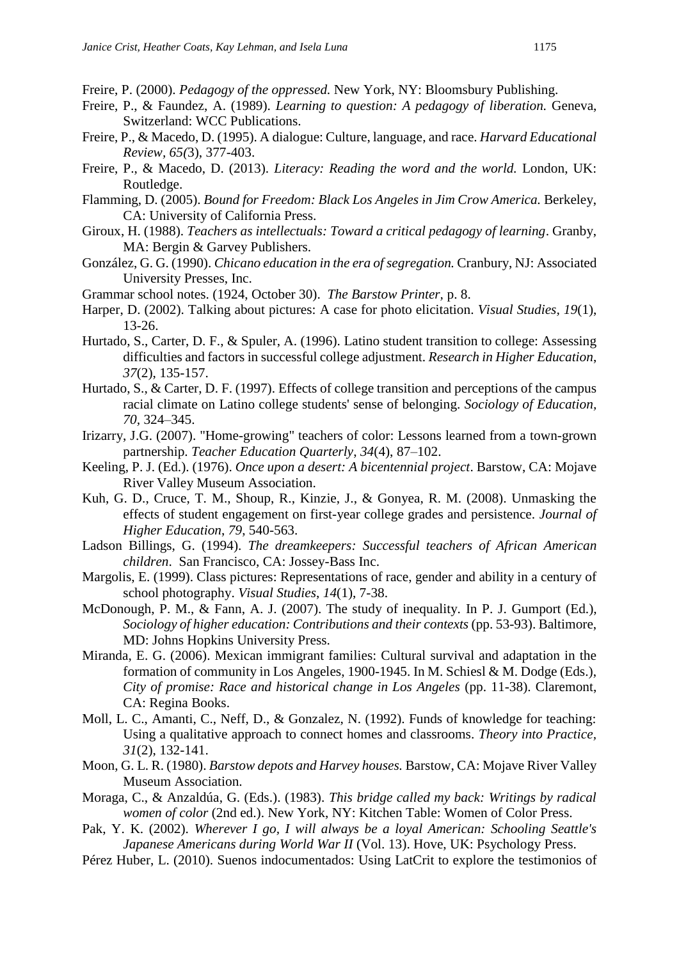Freire, P. (2000). *Pedagogy of the oppressed.* New York, NY: Bloomsbury Publishing.

- Freire, P., & Faundez, A. (1989). *Learning to question: A pedagogy of liberation.* Geneva, Switzerland: WCC Publications.
- Freire, P., & Macedo, D. (1995). A dialogue: Culture, language, and race. *Harvard Educational Review, 65(*3), 377-403.
- Freire, P., & Macedo, D. (2013). *Literacy: Reading the word and the world.* London, UK: Routledge.
- Flamming, D. (2005). *Bound for Freedom: Black Los Angeles in Jim Crow America.* Berkeley, CA: University of California Press.
- Giroux, H. (1988). *Teachers as intellectuals: Toward a critical pedagogy of learning*. Granby, MA: Bergin & Garvey Publishers.
- González, G. G. (1990). *Chicano education in the era of segregation.* Cranbury, NJ: Associated University Presses, Inc.
- Grammar school notes. (1924, October 30). *The Barstow Printer,* p. 8.
- Harper, D. (2002). Talking about pictures: A case for photo elicitation. *Visual Studies, 19*(1), 13-26.
- Hurtado, S., Carter, D. F., & Spuler, A. (1996). Latino student transition to college: Assessing difficulties and factors in successful college adjustment. *Research in Higher Education*, *37*(2), 135-157.
- Hurtado, S., & Carter, D. F. (1997). Effects of college transition and perceptions of the campus racial climate on Latino college students' sense of belonging. *Sociology of Education, 70,* 324–345.
- Irizarry, J.G. (2007). "Home-growing" teachers of color: Lessons learned from a town-grown partnership. *Teacher Education Quarterly*, *34*(4), 87–102.
- Keeling, P. J. (Ed.). (1976). *Once upon a desert: A bicentennial project*. Barstow, CA: Mojave River Valley Museum Association.
- Kuh, G. D., Cruce, T. M., Shoup, R., Kinzie, J., & Gonyea, R. M. (2008). Unmasking the effects of student engagement on first-year college grades and persistence. *Journal of Higher Education*, *79*, 540-563.
- Ladson Billings, G. (1994). *The dreamkeepers: Successful teachers of African American children*. San Francisco, CA: Jossey-Bass Inc.
- Margolis, E. (1999). Class pictures: Representations of race, gender and ability in a century of school photography. *Visual Studies*, *14*(1), 7-38.
- McDonough, P. M., & Fann, A. J. (2007). The study of inequality*.* In P. J. Gumport (Ed.), *Sociology of higher education: Contributions and their contexts* (pp. 53-93). Baltimore, MD: Johns Hopkins University Press.
- Miranda, E. G. (2006). Mexican immigrant families: Cultural survival and adaptation in the formation of community in Los Angeles, 1900-1945. In M. Schiesl & M. Dodge (Eds.), *City of promise: Race and historical change in Los Angeles* (pp. 11-38). Claremont, CA: Regina Books.
- Moll, L. C., Amanti, C., Neff, D., & Gonzalez, N. (1992). Funds of knowledge for teaching: Using a qualitative approach to connect homes and classrooms. *Theory into Practice, 31*(2), 132-141.
- Moon, G. L. R. (1980). *Barstow depots and Harvey houses.* Barstow, CA: Mojave River Valley Museum Association.
- Moraga, C., & Anzaldúa, G. (Eds.). (1983). *This bridge called my back: Writings by radical women of color* (2nd ed.). New York, NY: Kitchen Table: Women of Color Press.
- Pak, Y. K. (2002). *Wherever I go, I will always be a loyal American: Schooling Seattle's Japanese Americans during World War II* (Vol. 13). Hove, UK: Psychology Press.
- Pérez Huber, L. (2010). Suenos indocumentados: Using LatCrit to explore the testimonios of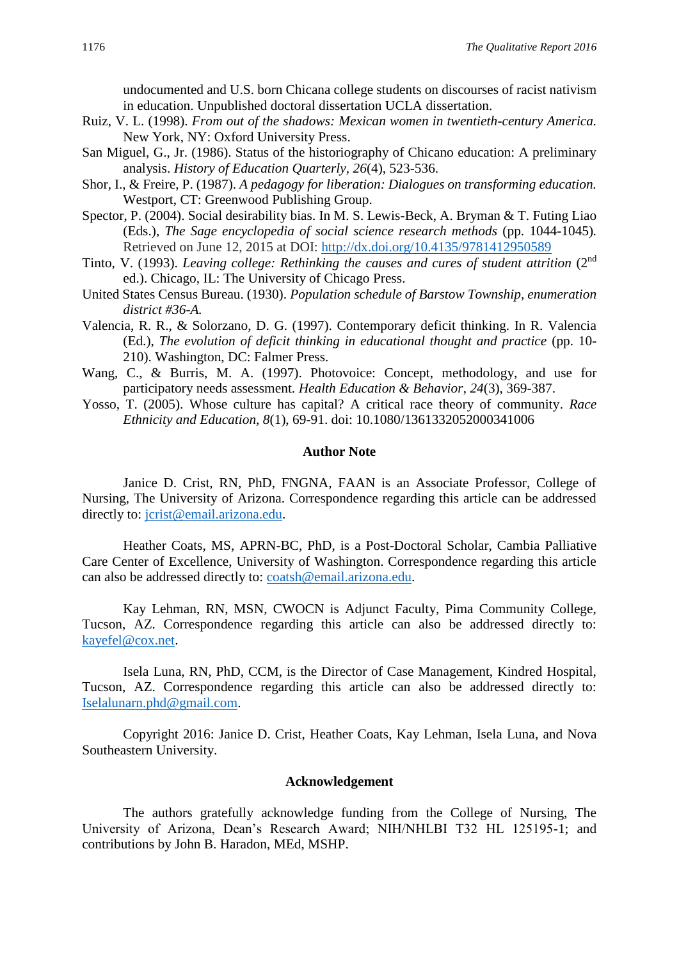undocumented and U.S. born Chicana college students on discourses of racist nativism in education. Unpublished doctoral dissertation UCLA dissertation.

- Ruiz, V. L. (1998). *From out of the shadows: Mexican women in twentieth-century America.* New York, NY: Oxford University Press.
- San Miguel, G., Jr. (1986). Status of the historiography of Chicano education: A preliminary analysis. *History of Education Quarterly, 26*(4), 523-536.
- Shor, I., & Freire, P. (1987). *A pedagogy for liberation: Dialogues on transforming education.* Westport, CT: Greenwood Publishing Group.
- Spector, P. (2004). Social desirability bias. In M. S. Lewis-Beck, A. Bryman & T. Futing Liao (Eds.), *The Sage encyclopedia of social science research methods* (pp. 1044-1045)*.*  Retrieved on June 12, 2015 at DOI: <http://dx.doi.org/10.4135/9781412950589>
- Tinto, V. (1993). *Leaving college: Rethinking the causes and cures of student attrition* (2nd ed.). Chicago, IL: The University of Chicago Press.
- United States Census Bureau. (1930). *Population schedule of Barstow Township, enumeration district #36-A.*
- Valencia, R. R., & Solorzano, D. G. (1997). Contemporary deficit thinking. In R. Valencia (Ed.), *The evolution of deficit thinking in educational thought and practice* (pp. 10- 210). Washington, DC: Falmer Press.
- Wang, C., & Burris, M. A. (1997). Photovoice: Concept, methodology, and use for participatory needs assessment. *Health Education & Behavior*, *24*(3), 369-387.
- Yosso, T. (2005). Whose culture has capital? A critical race theory of community. *Race Ethnicity and Education, 8*(1), 69-91. doi: 10.1080/1361332052000341006

#### **Author Note**

Janice D. Crist, RN, PhD, FNGNA, FAAN is an Associate Professor, College of Nursing, The University of Arizona. Correspondence regarding this article can be addressed directly to: [jcrist@email.arizona.edu.](mailto:jcrist@email.arizona.edu)

Heather Coats, MS, APRN-BC, PhD, is a Post-Doctoral Scholar, Cambia Palliative Care Center of Excellence, University of Washington. Correspondence regarding this article can also be addressed directly to: [coatsh@email.arizona.edu.](mailto:coatsh@email.arizona.edu)

Kay Lehman, RN, MSN, CWOCN is Adjunct Faculty, Pima Community College, Tucson, AZ. Correspondence regarding this article can also be addressed directly to: [kayefel@cox.net.](mailto:kayefel@cox.net)

Isela Luna, RN, PhD, CCM, is the Director of Case Management, Kindred Hospital, Tucson, AZ. Correspondence regarding this article can also be addressed directly to: [Iselalunarn.phd@gmail.com.](mailto:Iselalunarn.phd@gmail.com)

Copyright 2016: Janice D. Crist, Heather Coats, Kay Lehman, Isela Luna, and Nova Southeastern University.

### **Acknowledgement**

The authors gratefully acknowledge funding from the College of Nursing, The University of Arizona, Dean's Research Award; NIH/NHLBI T32 HL 125195-1; and contributions by John B. Haradon, MEd, MSHP.